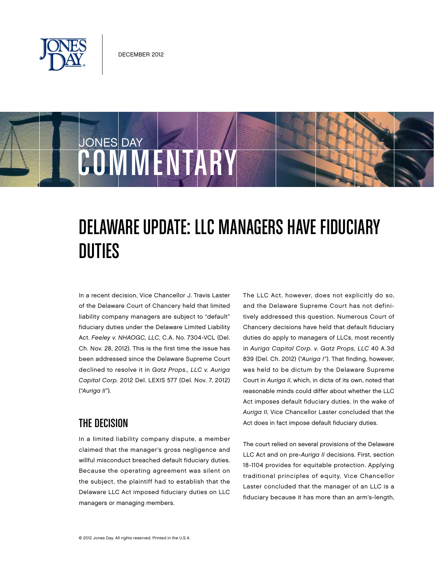

COMMENTARY

JONES DAY

Duties

## Delaware Update: LLC Managers Have Fiduciary

In a recent decision, Vice Chancellor J. Travis Laster of the Delaware Court of Chancery held that limited liability company managers are subject to "default" fiduciary duties under the Delaware Limited Liability Act. Feeley v. NHAOGC, LLC, C.A. No. 7304-VCL (Del. Ch. Nov. 28, 2012). This is the first time the issue has been addressed since the Delaware Supreme Court declined to resolve it in Gatz Props., LLC v. Auriga Capital Corp. 2012 Del. LEXIS 577 (Del. Nov. 7, 2012) ("Auriga II").

## The Decision

In a limited liability company dispute, a member claimed that the manager's gross negligence and willful misconduct breached default fiduciary duties. Because the operating agreement was silent on the subject, the plaintiff had to establish that the Delaware LLC Act imposed fiduciary duties on LLC managers or managing members.

The LLC Act, however, does not explicitly do so, and the Delaware Supreme Court has not definitively addressed this question. Numerous Court of Chancery decisions have held that default fiduciary duties do apply to managers of LLCs, most recently in Auriga Capital Corp. v. Gatz Props, LLC 40 A.3d 839 (Del. Ch. 2012) ("Auriga I"). That finding, however, was held to be dictum by the Delaware Supreme Court in Auriga II, which, in dicta of its own, noted that reasonable minds could differ about whether the LLC Act imposes default fiduciary duties. In the wake of Auriga II, Vice Chancellor Laster concluded that the Act does in fact impose default fiduciary duties.

The court relied on several provisions of the Delaware LLC Act and on pre-Auriga II decisions. First, section 18-1104 provides for equitable protection. Applying traditional principles of equity, Vice Chancellor Laster concluded that the manager of an LLC is a fiduciary because it has more than an arm's-length,